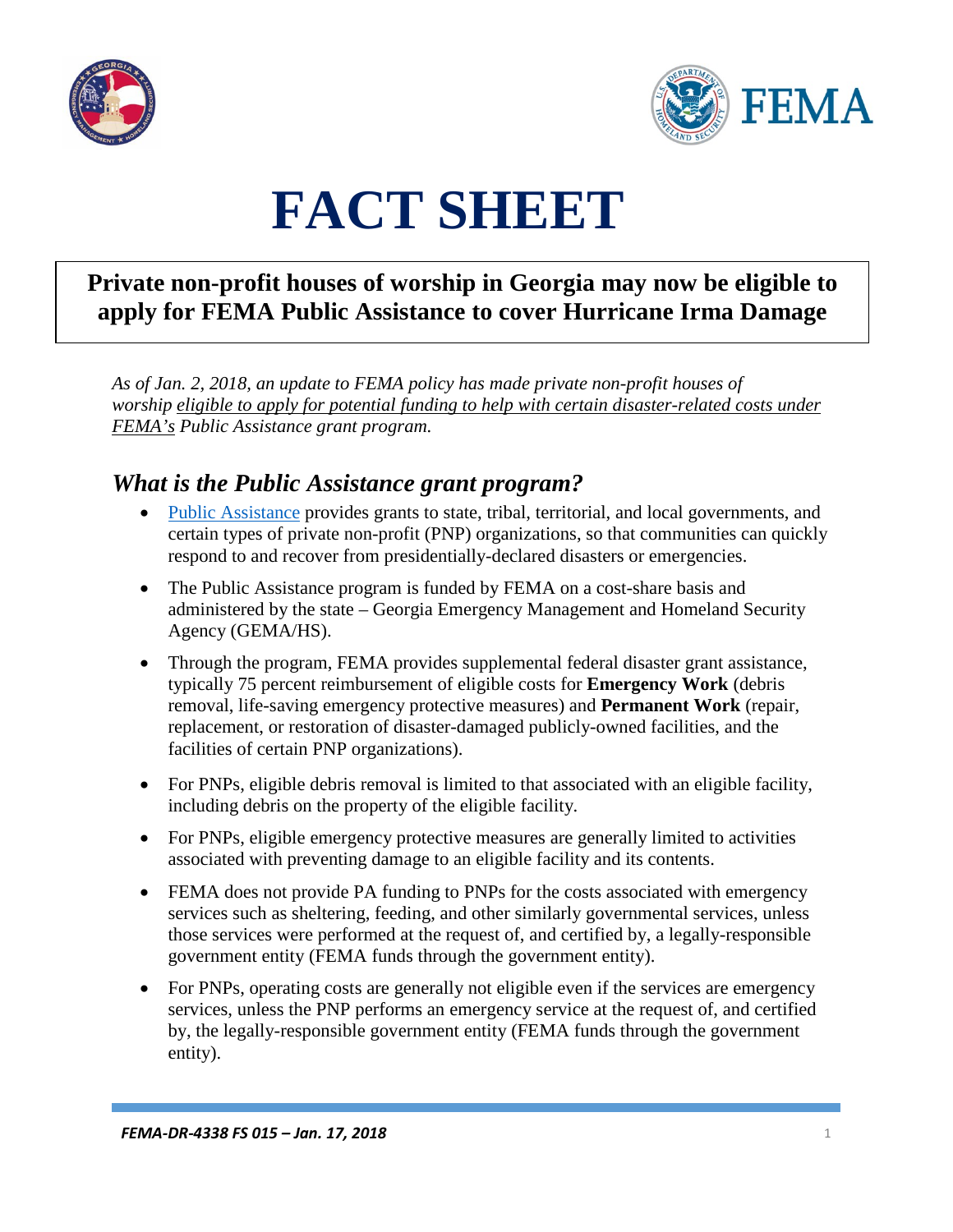



# **FACT SHEET**

# **Private non-profit houses of worship in Georgia may now be eligible to apply for FEMA Public Assistance to cover Hurricane Irma Damage**

*As of Jan. 2, 2018, an update to FEMA policy has made private non-profit houses of worship eligible to apply for potential funding to help with certain disaster-related costs under FEMA's Public Assistance grant program.*

## *What is the Public Assistance grant program?*

- [Public Assistance](https://www.fema.gov/public-assistance-local-state-tribal-and-non-profit) provides grants to state, tribal, territorial, and local governments, and certain types of private non-profit (PNP) organizations, so that communities can quickly respond to and recover from presidentially-declared disasters or emergencies.
- The Public Assistance program is funded by FEMA on a cost-share basis and administered by the state – Georgia Emergency Management and Homeland Security Agency (GEMA/HS).
- Through the program, FEMA provides supplemental federal disaster grant assistance, typically 75 percent reimbursement of eligible costs for **Emergency Work** (debris removal, life-saving emergency protective measures) and **Permanent Work** (repair, replacement, or restoration of disaster-damaged publicly-owned facilities, and the facilities of certain PNP organizations).
- For PNPs, eligible debris removal is limited to that associated with an eligible facility, including debris on the property of the eligible facility.
- For PNPs, eligible emergency protective measures are generally limited to activities associated with preventing damage to an eligible facility and its contents.
- FEMA does not provide PA funding to PNPs for the costs associated with emergency services such as sheltering, feeding, and other similarly governmental services, unless those services were performed at the request of, and certified by, a legally-responsible government entity (FEMA funds through the government entity).
- For PNPs, operating costs are generally not eligible even if the services are emergency services, unless the PNP performs an emergency service at the request of, and certified by, the legally-responsible government entity (FEMA funds through the government entity).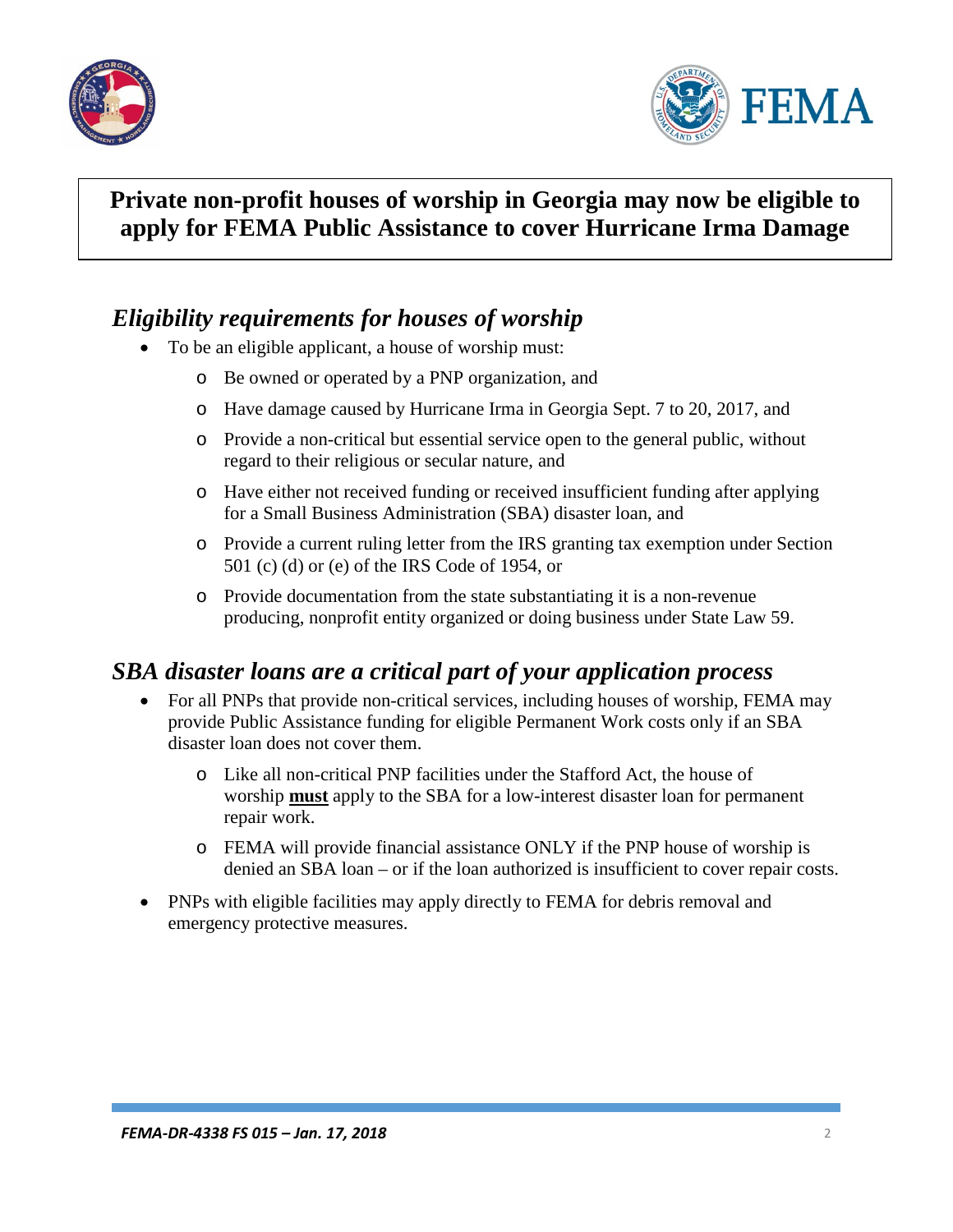



## **Private non-profit houses of worship in Georgia may now be eligible to apply for FEMA Public Assistance to cover Hurricane Irma Damage**

#### *Eligibility requirements for houses of worship*

- To be an eligible applicant, a house of worship must:
	- o Be owned or operated by a PNP organization, and
	- o Have damage caused by Hurricane Irma in Georgia Sept. 7 to 20, 2017, and
	- o Provide a non-critical but essential service open to the general public, without regard to their religious or secular nature, and
	- o Have either not received funding or received insufficient funding after applying for a Small Business Administration (SBA) disaster loan, and
	- o Provide a current ruling letter from the IRS granting tax exemption under Section 501 (c) (d) or (e) of the IRS Code of 1954, or
	- o Provide documentation from the state substantiating it is a non-revenue producing, nonprofit entity organized or doing business under State Law 59.

#### *SBA disaster loans are a critical part of your application process*

- For all PNPs that provide non-critical services, including houses of worship, FEMA may provide Public Assistance funding for eligible Permanent Work costs only if an SBA disaster loan does not cover them.
	- o Like all non-critical PNP facilities under the Stafford Act, the house of worship **must** apply to the SBA for a low-interest disaster loan for permanent repair work.
	- o FEMA will provide financial assistance ONLY if the PNP house of worship is denied an SBA loan – or if the loan authorized is insufficient to cover repair costs.
- PNPs with eligible facilities may apply directly to FEMA for debris removal and emergency protective measures.